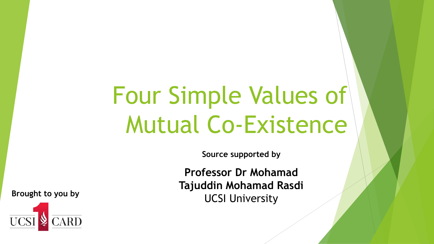# Four Simple Values of Mutual Co-Existence

**Source supported by**

**Professor Dr Mohamad Tajuddin Mohamad Rasdi** Brought to you by **Brought to you by Brought to you by Brought 1** 

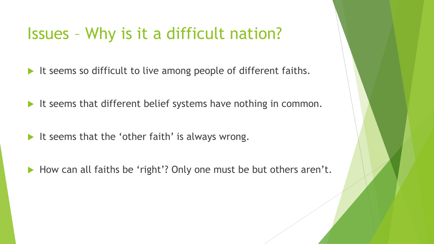#### Issues – Why is it a difficult nation?

- It seems so difficult to live among people of different faiths.
- It seems that different belief systems have nothing in common.
- It seems that the 'other faith' is always wrong.
- How can all faiths be 'right'? Only one must be but others aren't.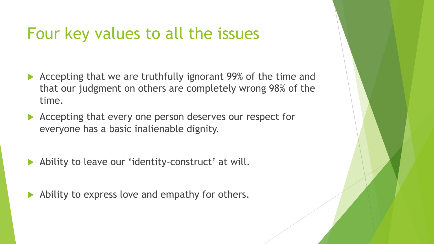#### Four key values to all the issues

- Accepting that we are truthfully ignorant 99% of the time and that our judgment on others are completely wrong 98% of the time.
- Accepting that every one person deserves our respect for everyone has a basic inalienable dignity.
- Ability to leave our 'identity-construct' at will.
- Ability to express love and empathy for others.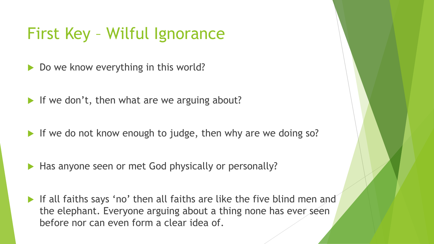#### First Key – Wilful Ignorance

- Do we know everything in this world?
- If we don't, then what are we arguing about?
- If we do not know enough to judge, then why are we doing so?
- Has anyone seen or met God physically or personally?
- If all faiths says 'no' then all faiths are like the five blind men and the elephant. Everyone arguing about a thing none has ever seen before nor can even form a clear idea of.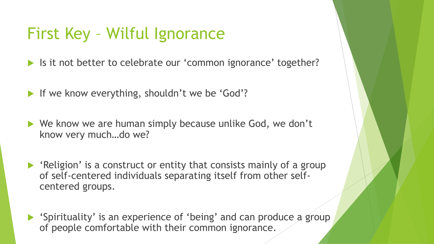#### First Key – Wilful Ignorance

If it not better to celebrate our 'common ignorance' together?

If we know everything, shouldn't we be 'God'?

▶ We know we are human simply because unlike God, we don't know very much…do we?

 $\blacktriangleright$  'Religion' is a construct or entity that consists mainly of a group of self-centered individuals separating itself from other selfcentered groups.

 'Spirituality' is an experience of 'being' and can produce a group of people comfortable with their common ignorance.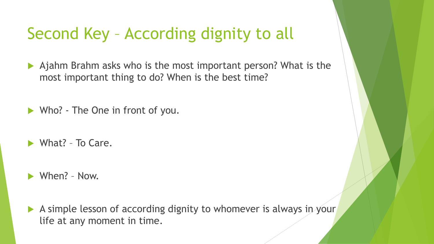## Second Key – According dignity to all

- Ajahm Brahm asks who is the most important person? What is the most important thing to do? When is the best time?
- ▶ Who? The One in front of you.
- What? To Care.
- When? Now.
- A simple lesson of according dignity to whomever is always in your life at any moment in time.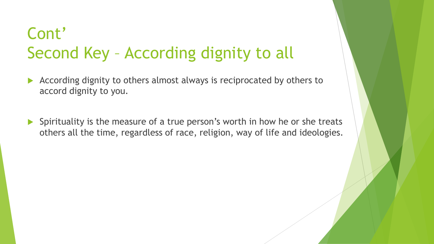# Cont' Second Key – According dignity to all

- According dignity to others almost always is reciprocated by others to accord dignity to you.
- Spirituality is the measure of a true person's worth in how he or she treats others all the time, regardless of race, religion, way of life and ideologies.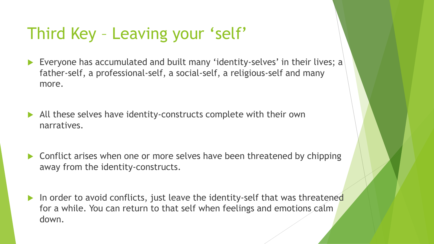## Third Key – Leaving your 'self'

- Everyone has accumulated and built many 'identity-selves' in their lives; a father-self, a professional-self, a social-self, a religious-self and many more.
- All these selves have identity-constructs complete with their own narratives.
- ▶ Conflict arises when one or more selves have been threatened by chipping away from the identity-constructs.
- In order to avoid conflicts, just leave the identity-self that was threatened for a while. You can return to that self when feelings and emotions calm down.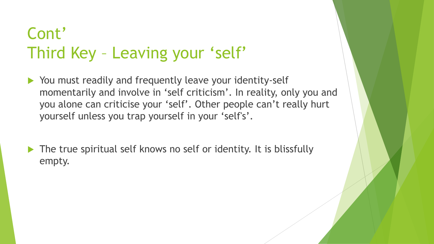# Cont' Third Key – Leaving your 'self'

- ▶ You must readily and frequently leave your identity-self momentarily and involve in 'self criticism'. In reality, only you and you alone can criticise your 'self'. Other people can't really hurt yourself unless you trap yourself in your 'self's'.
- The true spiritual self knows no self or identity. It is blissfully empty.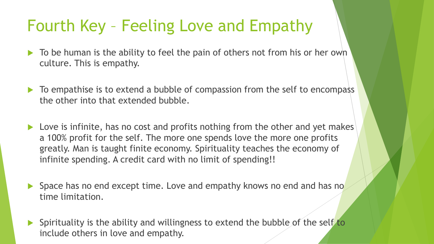#### Fourth Key – Feeling Love and Empathy

- $\triangleright$  To be human is the ability to feel the pain of others not from his or her own culture. This is empathy.
- $\triangleright$  To empathise is to extend a bubble of compassion from the self to encompass the other into that extended bubble.
- ▶ Love is infinite, has no cost and profits nothing from the other and yet makes a 100% profit for the self. The more one spends love the more one profits greatly. Man is taught finite economy. Spirituality teaches the economy of infinite spending. A credit card with no limit of spending!!
- Space has no end except time. Love and empathy knows no end and has no time limitation.
- $\blacktriangleright$  Spirituality is the ability and willingness to extend the bubble of the self to include others in love and empathy.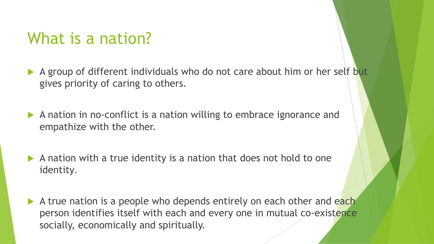#### What is a nation?

- A group of different individuals who do not care about him or her self but gives priority of caring to others.
- A nation in no-conflict is a nation willing to embrace ignorance and empathize with the other.
- $\blacktriangleright$  A nation with a true identity is a nation that does not hold to one identity.
- A true nation is a people who depends entirely on each other and each person identifies itself with each and every one in mutual co-existence socially, economically and spiritually.